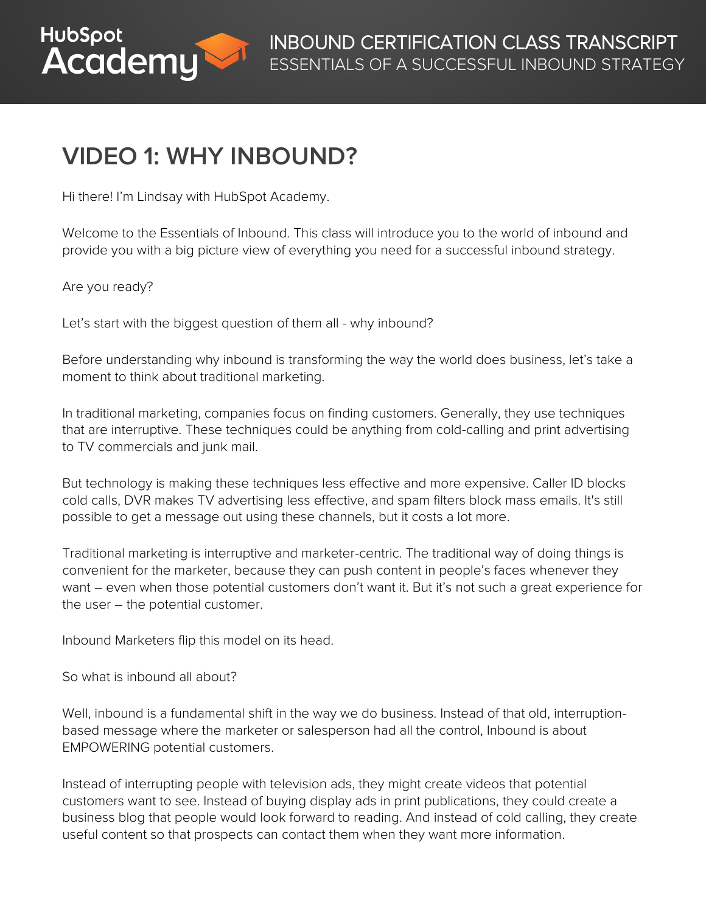

# **VIDEO 1: WHY INBOUND?**

Hi there! I'm Lindsay with HubSpot Academy.

Welcome to the Essentials of Inbound. This class will introduce you to the world of inbound and provide you with a big picture view of everything you need for a successful inbound strategy.

#### Are you ready?

Let's start with the biggest question of them all - why inbound?

Before understanding why inbound is transforming the way the world does business, let's take a moment to think about traditional marketing.

In traditional marketing, companies focus on finding customers. Generally, they use techniques that are interruptive. These techniques could be anything from cold-calling and print advertising to TV commercials and junk mail.

But technology is making these techniques less effective and more expensive. Caller ID blocks cold calls, DVR makes TV advertising less effective, and spam filters block mass emails. It's still possible to get a message out using these channels, but it costs a lot more.

Traditional marketing is interruptive and marketer-centric. The traditional way of doing things is convenient for the marketer, because they can push content in people's faces whenever they want – even when those potential customers don't want it. But it's not such a great experience for the user – the potential customer.

Inbound Marketers flip this model on its head.

So what is inbound all about?

Well, inbound is a fundamental shift in the way we do business. Instead of that old, interruptionbased message where the marketer or salesperson had all the control, Inbound is about EMPOWERING potential customers.

Instead of interrupting people with television ads, they might create videos that potential customers want to see. Instead of buying display ads in print publications, they could create a business blog that people would look forward to reading. And instead of cold calling, they create useful content so that prospects can contact them when they want more information.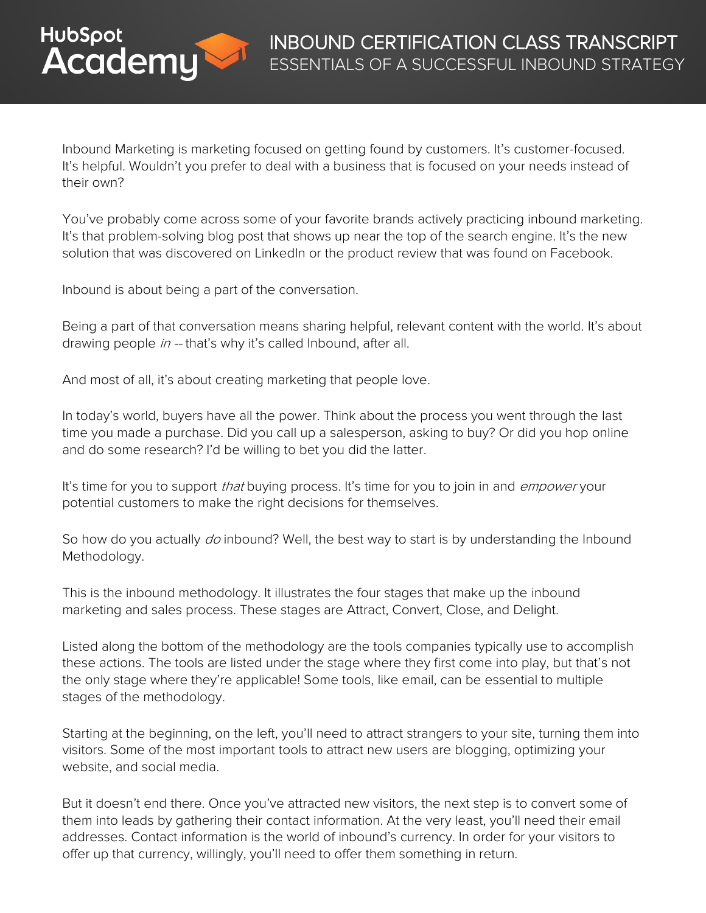

Inbound Marketing is marketing focused on getting found by customers. It's customer-focused. It's helpful. Wouldn't you prefer to deal with a business that is focused on your needs instead of their own?

You've probably come across some of your favorite brands actively practicing inbound marketing. It's that problem-solving blog post that shows up near the top of the search engine. It's the new solution that was discovered on LinkedIn or the product review that was found on Facebook.

Inbound is about being a part of the conversation.

Being a part of that conversation means sharing helpful, relevant content with the world. It's about drawing people in -- that's why it's called Inbound, after all.

And most of all, it's about creating marketing that people love.

In today's world, buyers have all the power. Think about the process you went through the last time you made a purchase. Did you call up a salesperson, asking to buy? Or did you hop online and do some research? I'd be willing to bet you did the latter.

It's time for you to support *that* buying process. It's time for you to join in and *empower* your potential customers to make the right decisions for themselves.

So how do you actually *do* inbound? Well, the best way to start is by understanding the Inbound Methodology.

This is the inbound methodology. It illustrates the four stages that make up the inbound marketing and sales process. These stages are Attract, Convert, Close, and Delight.

Listed along the bottom of the methodology are the tools companies typically use to accomplish these actions. The tools are listed under the stage where they first come into play, but that's not the only stage where they're applicable! Some tools, like email, can be essential to multiple stages of the methodology.

Starting at the beginning, on the left, you'll need to attract strangers to your site, turning them into visitors. Some of the most important tools to attract new users are blogging, optimizing your website, and social media.

But it doesn't end there. Once you've attracted new visitors, the next step is to convert some of them into leads by gathering their contact information. At the very least, you'll need their email addresses. Contact information is the world of inbound's currency. In order for your visitors to offer up that currency, willingly, you'll need to offer them something in return.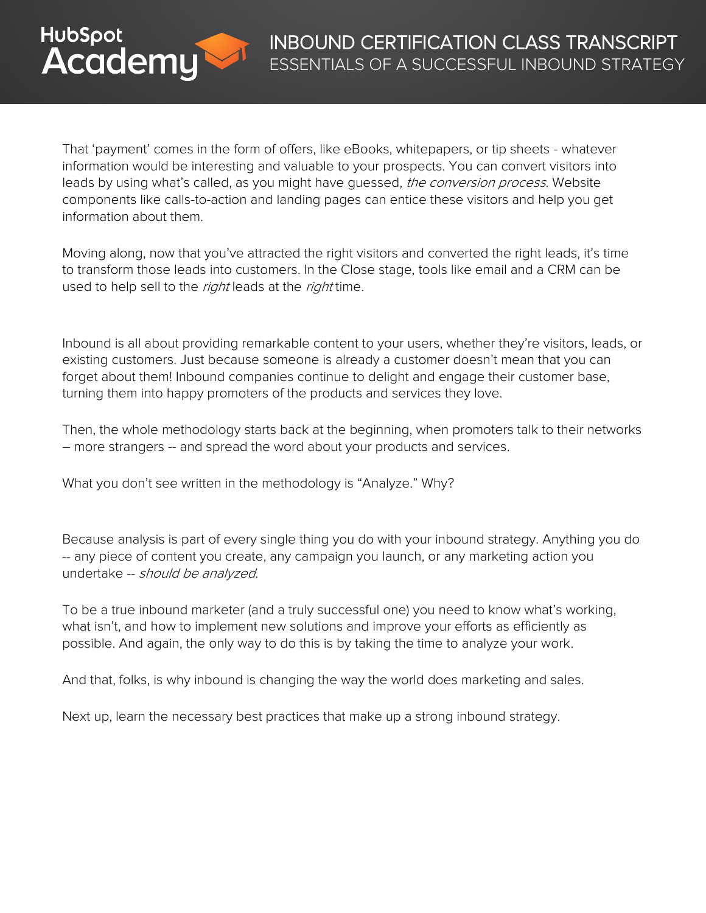

That 'payment' comes in the form of offers, like eBooks, whitepapers, or tip sheets - whatever information would be interesting and valuable to your prospects. You can convert visitors into leads by using what's called, as you might have guessed, the conversion process. Website components like calls-to-action and landing pages can entice these visitors and help you get information about them.

Moving along, now that you've attracted the right visitors and converted the right leads, it's time to transform those leads into customers. In the Close stage, tools like email and a CRM can be used to help sell to the right leads at the right time.

Inbound is all about providing remarkable content to your users, whether they're visitors, leads, or existing customers. Just because someone is already a customer doesn't mean that you can forget about them! Inbound companies continue to delight and engage their customer base, turning them into happy promoters of the products and services they love.

Then, the whole methodology starts back at the beginning, when promoters talk to their networks – more strangers -- and spread the word about your products and services.

What you don't see written in the methodology is "Analyze." Why?

Because analysis is part of every single thing you do with your inbound strategy. Anything you do -- any piece of content you create, any campaign you launch, or any marketing action you undertake -- should be analyzed.

To be a true inbound marketer (and a truly successful one) you need to know what's working, what isn't, and how to implement new solutions and improve your efforts as efficiently as possible. And again, the only way to do this is by taking the time to analyze your work.

And that, folks, is why inbound is changing the way the world does marketing and sales.

Next up, learn the necessary best practices that make up a strong inbound strategy.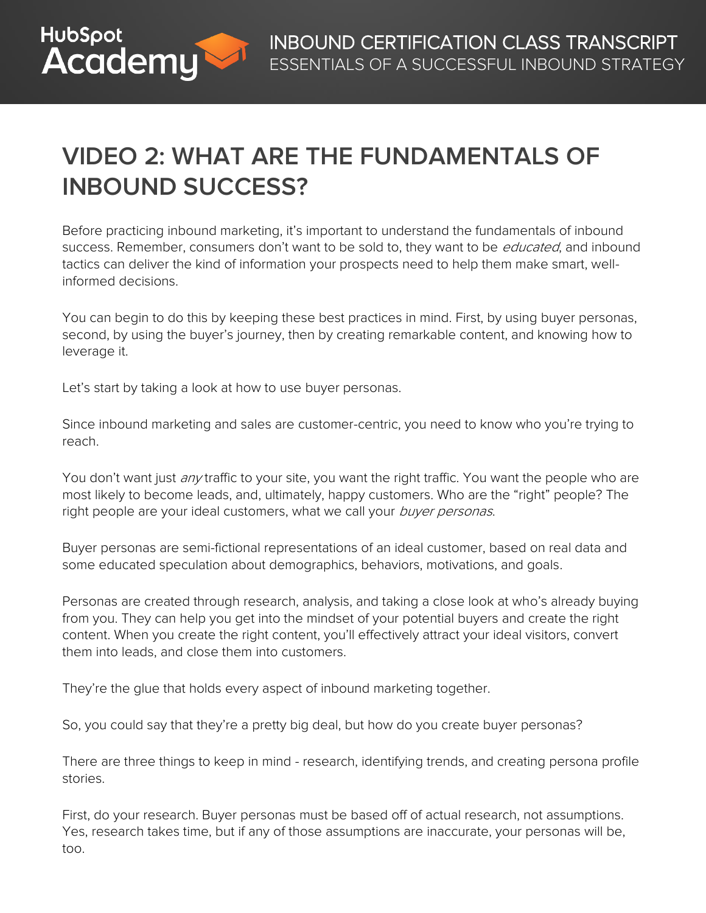

# **VIDEO 2: WHAT ARE THE FUNDAMENTALS OF INBOUND SUCCESS?**

Before practicing inbound marketing, it's important to understand the fundamentals of inbound success. Remember, consumers don't want to be sold to, they want to be *educated*, and inbound tactics can deliver the kind of information your prospects need to help them make smart, wellinformed decisions.

You can begin to do this by keeping these best practices in mind. First, by using buyer personas, second, by using the buyer's journey, then by creating remarkable content, and knowing how to leverage it.

Let's start by taking a look at how to use buyer personas.

Since inbound marketing and sales are customer-centric, you need to know who you're trying to reach.

You don't want just *any* traffic to your site, you want the right traffic. You want the people who are most likely to become leads, and, ultimately, happy customers. Who are the "right" people? The right people are your ideal customers, what we call your buyer personas.

Buyer personas are semi-fictional representations of an ideal customer, based on real data and some educated speculation about demographics, behaviors, motivations, and goals.

Personas are created through research, analysis, and taking a close look at who's already buying from you. They can help you get into the mindset of your potential buyers and create the right content. When you create the right content, you'll effectively attract your ideal visitors, convert them into leads, and close them into customers.

They're the glue that holds every aspect of inbound marketing together.

So, you could say that they're a pretty big deal, but how do you create buyer personas?

There are three things to keep in mind - research, identifying trends, and creating persona profile stories.

First, do your research. Buyer personas must be based off of actual research, not assumptions. Yes, research takes time, but if any of those assumptions are inaccurate, your personas will be, too.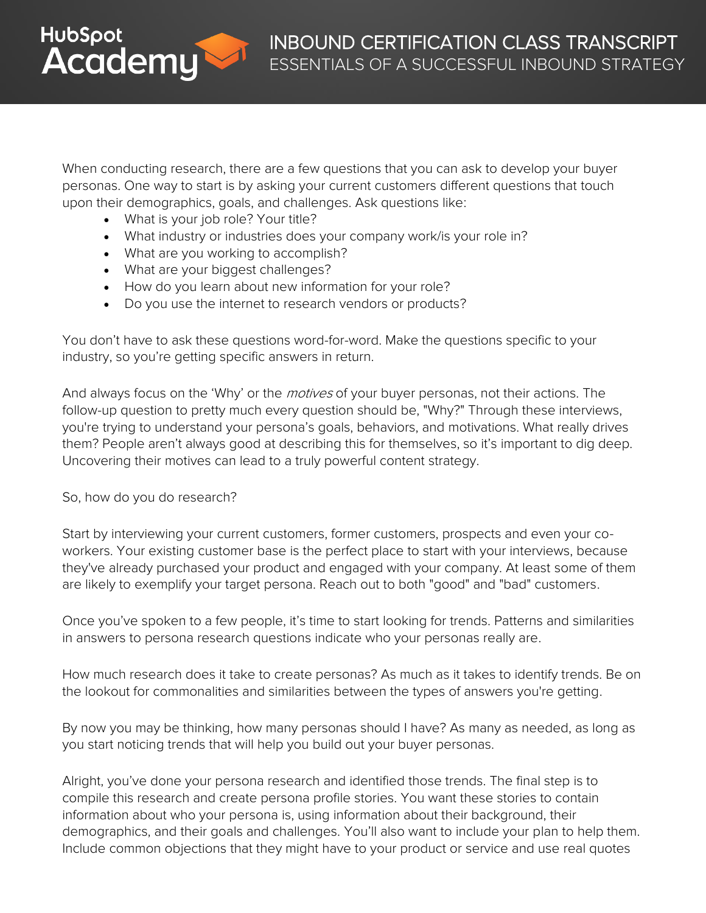

When conducting research, there are a few questions that you can ask to develop your buyer personas. One way to start is by asking your current customers different questions that touch upon their demographics, goals, and challenges. Ask questions like:

- What is your job role? Your title?
- What industry or industries does your company work/is your role in?
- What are you working to accomplish?
- What are your biggest challenges?
- How do you learn about new information for your role?
- Do you use the internet to research vendors or products?

You don't have to ask these questions word-for-word. Make the questions specific to your industry, so you're getting specific answers in return.

And always focus on the 'Why' or the *motives* of your buyer personas, not their actions. The follow-up question to pretty much every question should be, "Why?" Through these interviews, you're trying to understand your persona's goals, behaviors, and motivations. What really drives them? People aren't always good at describing this for themselves, so it's important to dig deep. Uncovering their motives can lead to a truly powerful content strategy.

#### So, how do you do research?

Start by interviewing your current customers, former customers, prospects and even your coworkers. Your existing customer base is the perfect place to start with your interviews, because they've already purchased your product and engaged with your company. At least some of them are likely to exemplify your target persona. Reach out to both "good" and "bad" customers.

Once you've spoken to a few people, it's time to start looking for trends. Patterns and similarities in answers to persona research questions indicate who your personas really are.

How much research does it take to create personas? As much as it takes to identify trends. Be on the lookout for commonalities and similarities between the types of answers you're getting.

By now you may be thinking, how many personas should I have? As many as needed, as long as you start noticing trends that will help you build out your buyer personas.

Alright, you've done your persona research and identified those trends. The final step is to compile this research and create persona profile stories. You want these stories to contain information about who your persona is, using information about their background, their demographics, and their goals and challenges. You'll also want to include your plan to help them. Include common objections that they might have to your product or service and use real quotes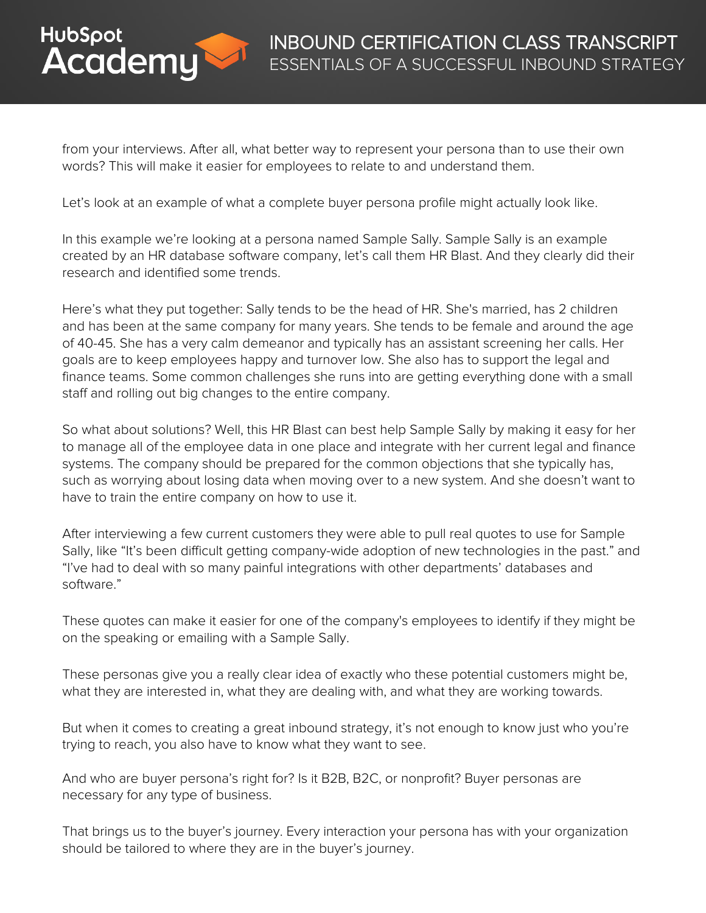

from your interviews. After all, what better way to represent your persona than to use their own words? This will make it easier for employees to relate to and understand them.

Let's look at an example of what a complete buyer persona profile might actually look like.

In this example we're looking at a persona named Sample Sally. Sample Sally is an example created by an HR database software company, let's call them HR Blast. And they clearly did their research and identified some trends.

Here's what they put together: Sally tends to be the head of HR. She's married, has 2 children and has been at the same company for many years. She tends to be female and around the age of 40-45. She has a very calm demeanor and typically has an assistant screening her calls. Her goals are to keep employees happy and turnover low. She also has to support the legal and finance teams. Some common challenges she runs into are getting everything done with a small staff and rolling out big changes to the entire company.

So what about solutions? Well, this HR Blast can best help Sample Sally by making it easy for her to manage all of the employee data in one place and integrate with her current legal and finance systems. The company should be prepared for the common objections that she typically has, such as worrying about losing data when moving over to a new system. And she doesn't want to have to train the entire company on how to use it.

After interviewing a few current customers they were able to pull real quotes to use for Sample Sally, like "It's been difficult getting company-wide adoption of new technologies in the past." and "I've had to deal with so many painful integrations with other departments' databases and software."

These quotes can make it easier for one of the company's employees to identify if they might be on the speaking or emailing with a Sample Sally.

These personas give you a really clear idea of exactly who these potential customers might be, what they are interested in, what they are dealing with, and what they are working towards.

But when it comes to creating a great inbound strategy, it's not enough to know just who you're trying to reach, you also have to know what they want to see.

And who are buyer persona's right for? Is it B2B, B2C, or nonprofit? Buyer personas are necessary for any type of business.

That brings us to the buyer's journey. Every interaction your persona has with your organization should be tailored to where they are in the buyer's journey.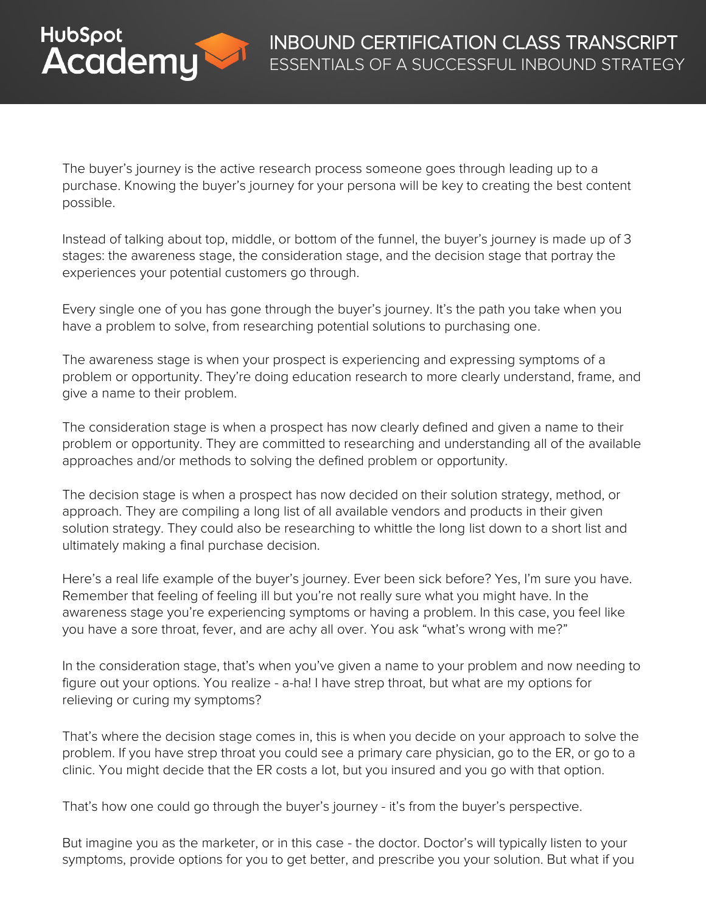

The buyer's journey is the active research process someone goes through leading up to a purchase. Knowing the buyer's journey for your persona will be key to creating the best content possible.

Instead of talking about top, middle, or bottom of the funnel, the buyer's journey is made up of 3 stages: the awareness stage, the consideration stage, and the decision stage that portray the experiences your potential customers go through.

Every single one of you has gone through the buyer's journey. It's the path you take when you have a problem to solve, from researching potential solutions to purchasing one.

The awareness stage is when your prospect is experiencing and expressing symptoms of a problem or opportunity. They're doing education research to more clearly understand, frame, and give a name to their problem.

The consideration stage is when a prospect has now clearly defined and given a name to their problem or opportunity. They are committed to researching and understanding all of the available approaches and/or methods to solving the defined problem or opportunity.

The decision stage is when a prospect has now decided on their solution strategy, method, or approach. They are compiling a long list of all available vendors and products in their given solution strategy. They could also be researching to whittle the long list down to a short list and ultimately making a final purchase decision.

Here's a real life example of the buyer's journey. Ever been sick before? Yes, I'm sure you have. Remember that feeling of feeling ill but you're not really sure what you might have. In the awareness stage you're experiencing symptoms or having a problem. In this case, you feel like you have a sore throat, fever, and are achy all over. You ask "what's wrong with me?"

In the consideration stage, that's when you've given a name to your problem and now needing to figure out your options. You realize - a-ha! I have strep throat, but what are my options for relieving or curing my symptoms?

That's where the decision stage comes in, this is when you decide on your approach to solve the problem. If you have strep throat you could see a primary care physician, go to the ER, or go to a clinic. You might decide that the ER costs a lot, but you insured and you go with that option.

That's how one could go through the buyer's journey - it's from the buyer's perspective.

But imagine you as the marketer, or in this case - the doctor. Doctor's will typically listen to your symptoms, provide options for you to get better, and prescribe you your solution. But what if you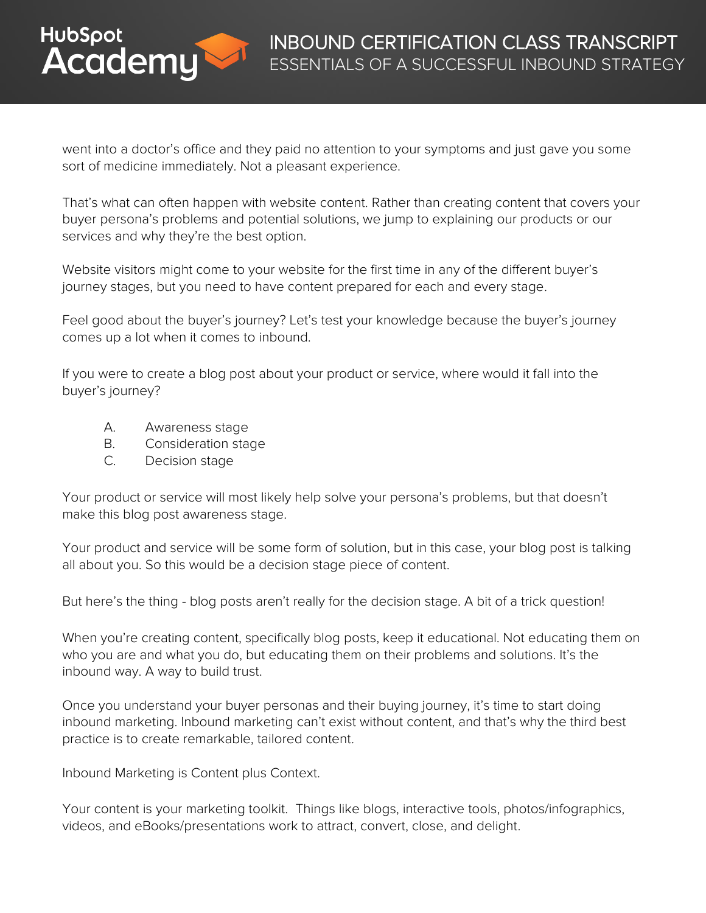

went into a doctor's office and they paid no attention to your symptoms and just gave you some sort of medicine immediately. Not a pleasant experience.

That's what can often happen with website content. Rather than creating content that covers your buyer persona's problems and potential solutions, we jump to explaining our products or our services and why they're the best option.

Website visitors might come to your website for the first time in any of the different buyer's journey stages, but you need to have content prepared for each and every stage.

Feel good about the buyer's journey? Let's test your knowledge because the buyer's journey comes up a lot when it comes to inbound.

If you were to create a blog post about your product or service, where would it fall into the buyer's journey?

- A. Awareness stage
- B. Consideration stage
- C. Decision stage

Your product or service will most likely help solve your persona's problems, but that doesn't make this blog post awareness stage.

Your product and service will be some form of solution, but in this case, your blog post is talking all about you. So this would be a decision stage piece of content.

But here's the thing - blog posts aren't really for the decision stage. A bit of a trick question!

When you're creating content, specifically blog posts, keep it educational. Not educating them on who you are and what you do, but educating them on their problems and solutions. It's the inbound way. A way to build trust.

Once you understand your buyer personas and their buying journey, it's time to start doing inbound marketing. Inbound marketing can't exist without content, and that's why the third best practice is to create remarkable, tailored content.

Inbound Marketing is Content plus Context.

Your content is your marketing toolkit. Things like blogs, interactive tools, photos/infographics, videos, and eBooks/presentations work to attract, convert, close, and delight.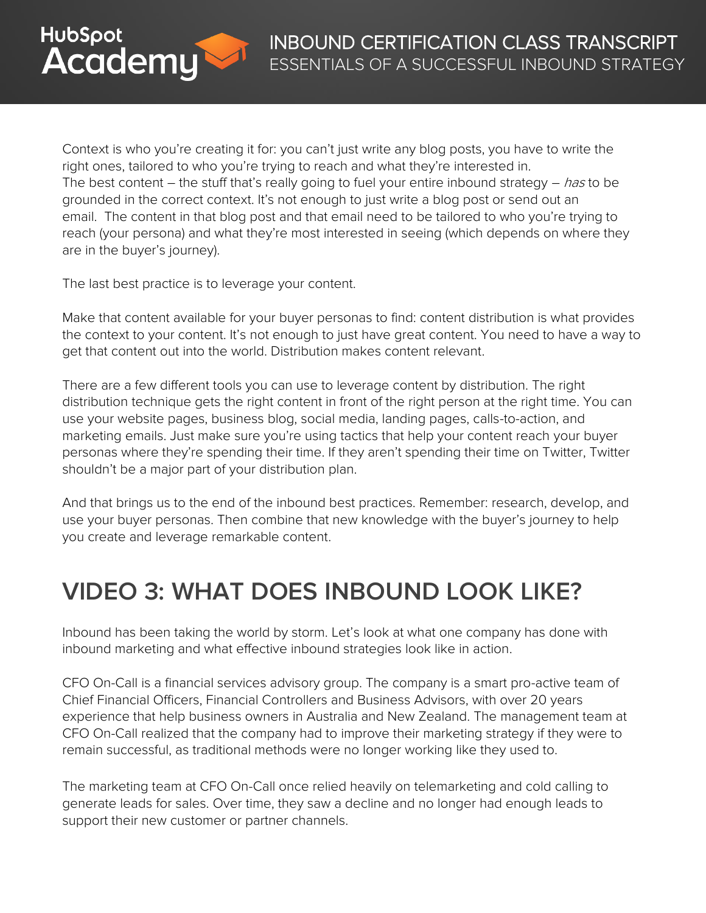

Context is who you're creating it for: you can't just write any blog posts, you have to write the right ones, tailored to who you're trying to reach and what they're interested in. The best content – the stuff that's really going to fuel your entire inbound strategy – has to be grounded in the correct context. It's not enough to just write a blog post or send out an email. The content in that blog post and that email need to be tailored to who you're trying to reach (your persona) and what they're most interested in seeing (which depends on where they are in the buyer's journey).

The last best practice is to leverage your content.

Make that content available for your buyer personas to find: content distribution is what provides the context to your content. It's not enough to just have great content. You need to have a way to get that content out into the world. Distribution makes content relevant.

There are a few different tools you can use to leverage content by distribution. The right distribution technique gets the right content in front of the right person at the right time. You can use your website pages, business blog, social media, landing pages, calls-to-action, and marketing emails. Just make sure you're using tactics that help your content reach your buyer personas where they're spending their time. If they aren't spending their time on Twitter, Twitter shouldn't be a major part of your distribution plan.

And that brings us to the end of the inbound best practices. Remember: research, develop, and use your buyer personas. Then combine that new knowledge with the buyer's journey to help you create and leverage remarkable content.

### **VIDEO 3: WHAT DOES INBOUND LOOK LIKE?**

Inbound has been taking the world by storm. Let's look at what one company has done with inbound marketing and what effective inbound strategies look like in action.

CFO On-Call is a financial services advisory group. The company is a smart pro-active team of Chief Financial Officers, Financial Controllers and Business Advisors, with over 20 years experience that help business owners in Australia and New Zealand. The management team at CFO On-Call realized that the company had to improve their marketing strategy if they were to remain successful, as traditional methods were no longer working like they used to.

The marketing team at CFO On-Call once relied heavily on telemarketing and cold calling to generate leads for sales. Over time, they saw a decline and no longer had enough leads to support their new customer or partner channels.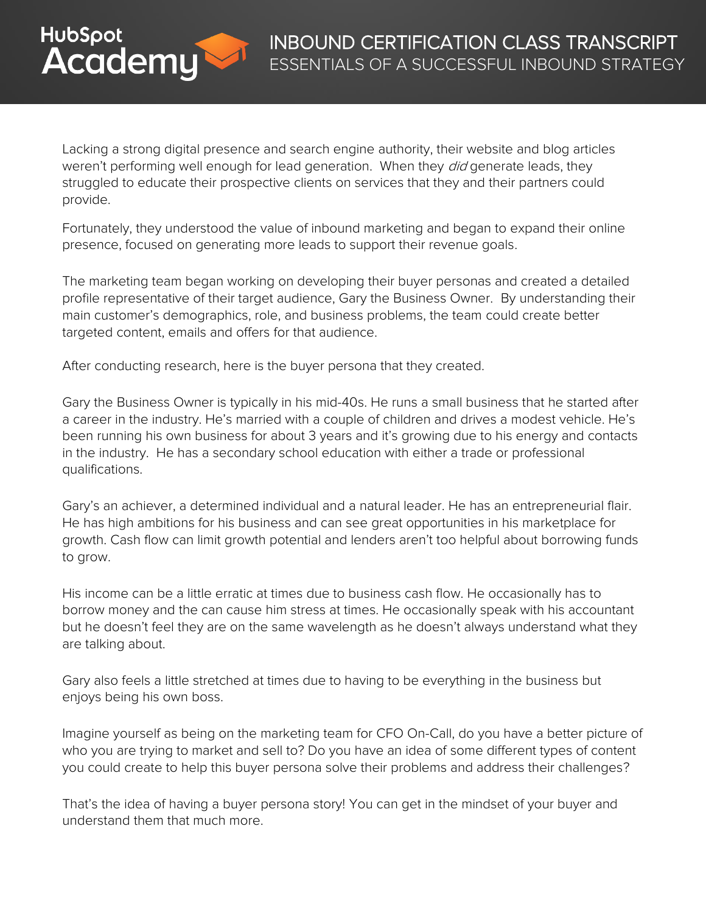

Lacking a strong digital presence and search engine authority, their website and blog articles weren't performing well enough for lead generation. When they *did* generate leads, they struggled to educate their prospective clients on services that they and their partners could provide.

Fortunately, they understood the value of inbound marketing and began to expand their online presence, focused on generating more leads to support their revenue goals.

The marketing team began working on developing their buyer personas and created a detailed profile representative of their target audience, Gary the Business Owner. By understanding their main customer's demographics, role, and business problems, the team could create better targeted content, emails and offers for that audience.

After conducting research, here is the buyer persona that they created.

Gary the Business Owner is typically in his mid-40s. He runs a small business that he started after a career in the industry. He's married with a couple of children and drives a modest vehicle. He's been running his own business for about 3 years and it's growing due to his energy and contacts in the industry. He has a secondary school education with either a trade or professional qualifications.

Gary's an achiever, a determined individual and a natural leader. He has an entrepreneurial flair. He has high ambitions for his business and can see great opportunities in his marketplace for growth. Cash flow can limit growth potential and lenders aren't too helpful about borrowing funds to grow.

His income can be a little erratic at times due to business cash flow. He occasionally has to borrow money and the can cause him stress at times. He occasionally speak with his accountant but he doesn't feel they are on the same wavelength as he doesn't always understand what they are talking about.

Gary also feels a little stretched at times due to having to be everything in the business but enjoys being his own boss.

Imagine yourself as being on the marketing team for CFO On-Call, do you have a better picture of who you are trying to market and sell to? Do you have an idea of some different types of content you could create to help this buyer persona solve their problems and address their challenges?

That's the idea of having a buyer persona story! You can get in the mindset of your buyer and understand them that much more.